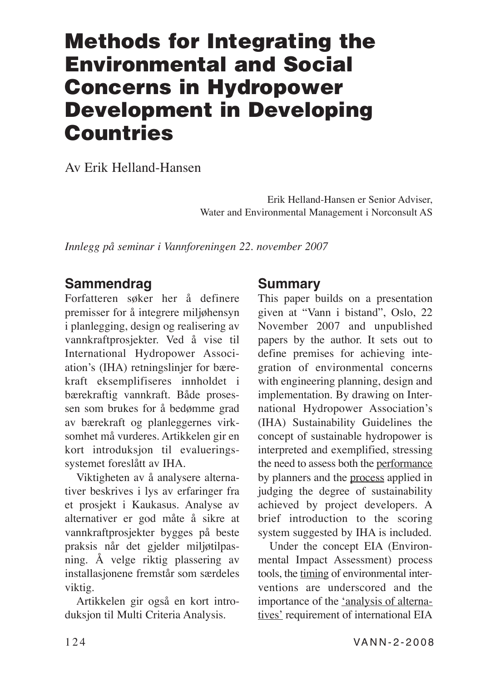# **Methods for Integrating the Environmental and Social Concerns in Hydropower Development in Developing Countries**

Av Erik Helland-Hansen

Erik Helland-Hansen er Senior Adviser, Water and Environmental Management i Norconsult AS

*Innlegg på seminar i Vannforeningen 22. november 2007*

# **Sammendrag**

Forfatteren søker her å definere premisser for å integrere miljøhensyn i planlegging, design og realisering av vannkraftprosjekter. Ved å vise til International Hydropower Association's (IHA) retningslinjer for bærekraft eksemplifiseres innholdet i bærekraftig vannkraft. Både prosessen som brukes for å bedømme grad av bærekraft og planleggernes virksomhet må vurderes. Artikkelen gir en kort introduksjon til evalueringssystemet foreslått av IHA.

Viktigheten av å analysere alternativer beskrives i lys av erfaringer fra et prosjekt i Kaukasus. Analyse av alternativer er god måte å sikre at vannkraftprosjekter bygges på beste praksis når det gjelder miljøtilpasning. Å velge riktig plassering av installasjonene fremstår som særdeles viktig.

Artikkelen gir også en kort introduksjon til Multi Criteria Analysis.

# **Summary**

This paper builds on a presentation given at "Vann i bistand", Oslo, 22 November 2007 and unpublished papers by the author. It sets out to define premises for achieving integration of environmental concerns with engineering planning, design and implementation. By drawing on International Hydropower Association's (IHA) Sustainability Guidelines the concept of sustainable hydropower is interpreted and exemplified, stressing the need to assess both the performance by planners and the process applied in judging the degree of sustainability achieved by project developers. A brief introduction to the scoring system suggested by IHA is included.

Under the concept EIA (Environmental Impact Assessment) process tools, the timing of environmental interventions are underscored and the importance of the 'analysis of alternatives' requirement of international EIA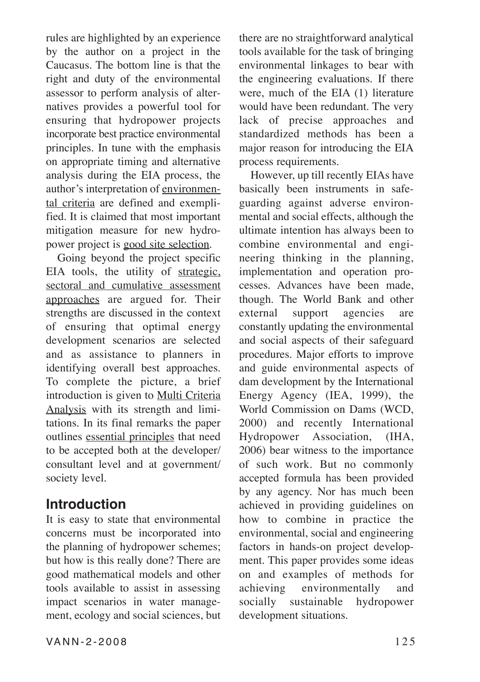rules are highlighted by an experience by the author on a project in the Caucasus. The bottom line is that the right and duty of the environmental assessor to perform analysis of alternatives provides a powerful tool for ensuring that hydropower projects incorporate best practice environmental principles. In tune with the emphasis on appropriate timing and alternative analysis during the EIA process, the author's interpretation of environmental criteria are defined and exemplified. It is claimed that most important mitigation measure for new hydropower project is good site selection.

Going beyond the project specific EIA tools, the utility of strategic, sectoral and cumulative assessment approaches are argued for. Their strengths are discussed in the context of ensuring that optimal energy development scenarios are selected and as assistance to planners in identifying overall best approaches. To complete the picture, a brief introduction is given to Multi Criteria Analysis with its strength and limitations. In its final remarks the paper outlines essential principles that need to be accepted both at the developer/ consultant level and at government/ society level.

### **Introduction**

It is easy to state that environmental concerns must be incorporated into the planning of hydropower schemes; but how is this really done? There are good mathematical models and other tools available to assist in assessing impact scenarios in water management, ecology and social sciences, but

VANN-2-2008 125

there are no straightforward analytical tools available for the task of bringing environmental linkages to bear with the engineering evaluations. If there were, much of the EIA (1) literature would have been redundant. The very lack of precise approaches and standardized methods has been a major reason for introducing the EIA process requirements.

However, up till recently EIAs have basically been instruments in safeguarding against adverse environmental and social effects, although the ultimate intention has always been to combine environmental and engineering thinking in the planning, implementation and operation processes. Advances have been made, though. The World Bank and other external support agencies are constantly updating the environmental and social aspects of their safeguard procedures. Major efforts to improve and guide environmental aspects of dam development by the International Energy Agency (IEA, 1999), the World Commission on Dams (WCD, 2000) and recently International Hydropower Association, (IHA, 2006) bear witness to the importance of such work. But no commonly accepted formula has been provided by any agency. Nor has much been achieved in providing guidelines on how to combine in practice the environmental, social and engineering factors in hands-on project development. This paper provides some ideas on and examples of methods for achieving environmentally and socially sustainable hydropower development situations.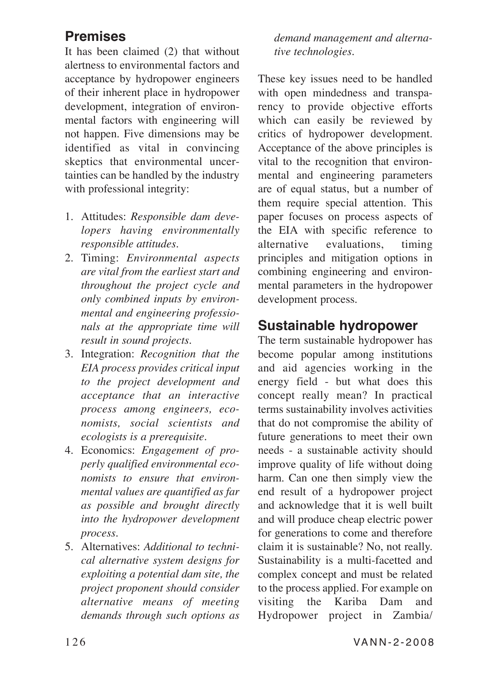# **Premises**

It has been claimed (2) that without alertness to environmental factors and acceptance by hydropower engineers of their inherent place in hydropower development, integration of environmental factors with engineering will not happen. Five dimensions may be identified as vital in convincing skeptics that environmental uncertainties can be handled by the industry with professional integrity:

- 1. Attitudes: *Responsible dam developers having environmentally responsible attitudes.*
- 2. Timing: *Environmental aspects are vital from the earliest start and throughout the project cycle and only combined inputs by environmental and engineering professionals at the appropriate time will result in sound projects.*
- 3. Integration: *Recognition that the EIA process provides critical input to the project development and acceptance that an interactive process among engineers, economists, social scientists and ecologists is a prerequisite.*
- 4. Economics: *Engagement of properly qualified environmental economists to ensure that environmental values are quantified as far as possible and brought directly into the hydropower development process.*
- 5. Alternatives: *Additional to technical alternative system designs for exploiting a potential dam site, the project proponent should consider alternative means of meeting demands through such options as*

*demand management and alternative technologies.*

These key issues need to be handled with open mindedness and transparency to provide objective efforts which can easily be reviewed by critics of hydropower development. Acceptance of the above principles is vital to the recognition that environmental and engineering parameters are of equal status, but a number of them require special attention. This paper focuses on process aspects of the EIA with specific reference to alternative evaluations, timing principles and mitigation options in combining engineering and environmental parameters in the hydropower development process.

# **Sustainable hydropower**

The term sustainable hydropower has become popular among institutions and aid agencies working in the energy field - but what does this concept really mean? In practical terms sustainability involves activities that do not compromise the ability of future generations to meet their own needs - a sustainable activity should improve quality of life without doing harm. Can one then simply view the end result of a hydropower project and acknowledge that it is well built and will produce cheap electric power for generations to come and therefore claim it is sustainable? No, not really. Sustainability is a multi-facetted and complex concept and must be related to the process applied. For example on visiting the Kariba Dam and Hydropower project in Zambia/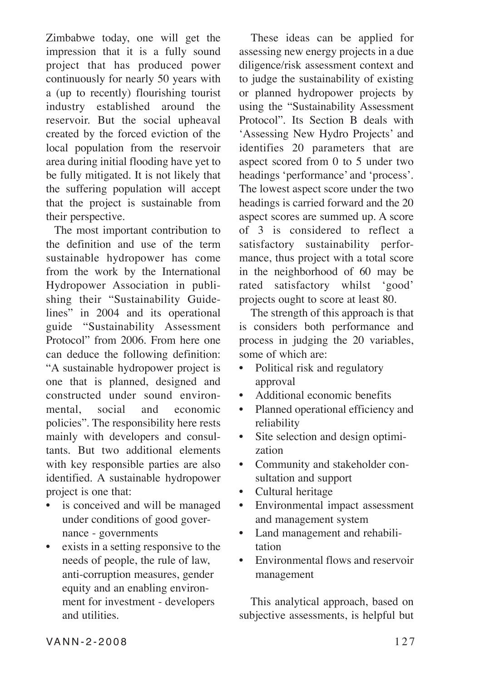Zimbabwe today, one will get the impression that it is a fully sound project that has produced power continuously for nearly 50 years with a (up to recently) flourishing tourist industry established around the reservoir. But the social upheaval created by the forced eviction of the local population from the reservoir area during initial flooding have yet to be fully mitigated. It is not likely that the suffering population will accept that the project is sustainable from their perspective.

The most important contribution to the definition and use of the term sustainable hydropower has come from the work by the International Hydropower Association in publishing their "Sustainability Guidelines" in 2004 and its operational guide "Sustainability Assessment Protocol" from 2006. From here one can deduce the following definition: "A sustainable hydropower project is one that is planned, designed and constructed under sound environmental, social and economic policies". The responsibility here rests mainly with developers and consultants. But two additional elements with key responsible parties are also identified. A sustainable hydropower project is one that:

- is conceived and will be managed under conditions of good governance - governments
- exists in a setting responsive to the needs of people, the rule of law, anti-corruption measures, gender equity and an enabling environment for investment - developers and utilities.

These ideas can be applied for assessing new energy projects in a due diligence/risk assessment context and to judge the sustainability of existing or planned hydropower projects by using the "Sustainability Assessment Protocol". Its Section B deals with 'Assessing New Hydro Projects' and identifies 20 parameters that are aspect scored from 0 to 5 under two headings 'performance' and 'process'. The lowest aspect score under the two headings is carried forward and the 20 aspect scores are summed up. A score of 3 is considered to reflect a satisfactory sustainability performance, thus project with a total score in the neighborhood of 60 may be rated satisfactory whilst 'good' projects ought to score at least 80.

The strength of this approach is that is considers both performance and process in judging the 20 variables, some of which are:

- Political risk and regulatory approval
- Additional economic benefits
- Planned operational efficiency and reliability
- Site selection and design optimization
- Community and stakeholder consultation and support
- Cultural heritage
- Environmental impact assessment and management system
- Land management and rehabilitation
- Environmental flows and reservoir management

This analytical approach, based on subjective assessments, is helpful but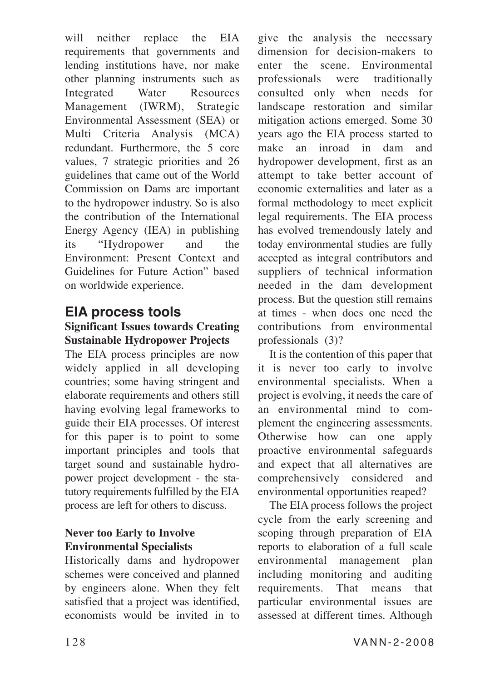will neither replace the EIA requirements that governments and lending institutions have, nor make other planning instruments such as Integrated Water Resources Management (IWRM), Strategic Environmental Assessment (SEA) or Multi Criteria Analysis (MCA) redundant. Furthermore, the 5 core values, 7 strategic priorities and 26 guidelines that came out of the World Commission on Dams are important to the hydropower industry. So is also the contribution of the International Energy Agency (IEA) in publishing its "Hydropower and the Environment: Present Context and Guidelines for Future Action" based on worldwide experience.

# **EIA process tools**

### **Significant Issues towards Creating Sustainable Hydropower Projects**

The EIA process principles are now widely applied in all developing countries; some having stringent and elaborate requirements and others still having evolving legal frameworks to guide their EIA processes. Of interest for this paper is to point to some important principles and tools that target sound and sustainable hydropower project development - the statutory requirements fulfilled by the EIA process are left for others to discuss.

### **Never too Early to Involve Environmental Specialists**

Historically dams and hydropower schemes were conceived and planned by engineers alone. When they felt satisfied that a project was identified, economists would be invited in to give the analysis the necessary dimension for decision-makers to enter the scene. Environmental professionals were traditionally consulted only when needs for landscape restoration and similar mitigation actions emerged. Some 30 years ago the EIA process started to make an inroad in dam and hydropower development, first as an attempt to take better account of economic externalities and later as a formal methodology to meet explicit legal requirements. The EIA process has evolved tremendously lately and today environmental studies are fully accepted as integral contributors and suppliers of technical information needed in the dam development process. But the question still remains at times - when does one need the contributions from environmental professionals (3)?

It is the contention of this paper that it is never too early to involve environmental specialists. When a project is evolving, it needs the care of an environmental mind to complement the engineering assessments. Otherwise how can one apply proactive environmental safeguards and expect that all alternatives are comprehensively considered and environmental opportunities reaped?

The EIA process follows the project cycle from the early screening and scoping through preparation of EIA reports to elaboration of a full scale environmental management plan including monitoring and auditing requirements. That means that particular environmental issues are assessed at different times. Although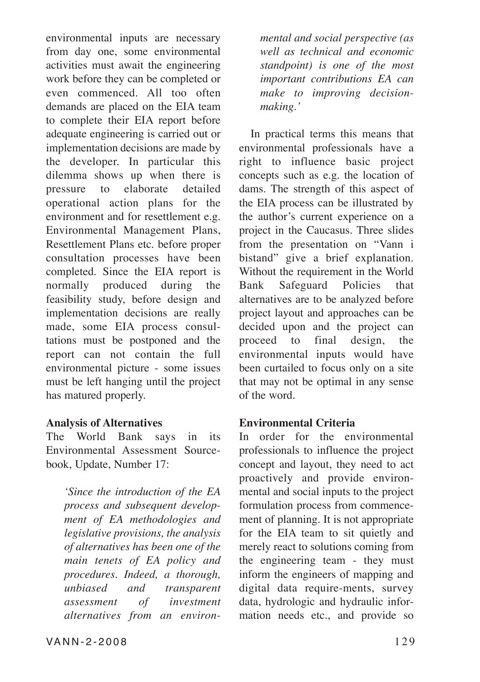environmental inputs are necessary from day one, some environmental activities must await the engineering work before they can be completed or even commenced. All too often demands are placed on the EIA team to complete their EIA report before adequate engineering is carried out or implementation decisions are made by the developer. In particular this dilemma shows up when there is pressure to elaborate detailed operational action plans for the environment and for resettlement e.g. Environmental Management Plans, Resettlement Plans etc. before proper consultation processes have been completed. Since the EIA report is normally produced during the feasibility study, before design and implementation decisions are really made, some EIA process consultations must be postponed and the report can not contain the full environmental picture - some issues must be left hanging until the project has matured properly.

#### **Analysis of Alternatives**

The World Bank says in its Environmental Assessment Sourcebook, Update, Number 17:

*'Since the introduction of the EA process and subsequent development of EA methodologies and legislative provisions, the analysis of alternatives has been one of the main tenets of EA policy and procedures. Indeed, a thorough, unbiased and transparent assessment of investment alternatives from an environ-* *mental and social perspective (as well as technical and economic standpoint) is one of the most important contributions EA can make to improving decisionmaking.'*

In practical terms this means that environmental professionals have a right to influence basic project concepts such as e.g. the location of dams. The strength of this aspect of the EIA process can be illustrated by the author's current experience on a project in the Caucasus. Three slides from the presentation on "Vann i bistand" give a brief explanation. Without the requirement in the World Bank Safeguard Policies that alternatives are to be analyzed before project layout and approaches can be decided upon and the project can proceed to final design, the environmental inputs would have been curtailed to focus only on a site that may not be optimal in any sense of the word.

#### **Environmental Criteria**

In order for the environmental professionals to influence the project concept and layout, they need to act proactively and provide environmental and social inputs to the project formulation process from commencement of planning. It is not appropriate for the EIA team to sit quietly and merely react to solutions coming from the engineering team - they must inform the engineers of mapping and digital data require-ments, survey data, hydrologic and hydraulic information needs etc., and provide so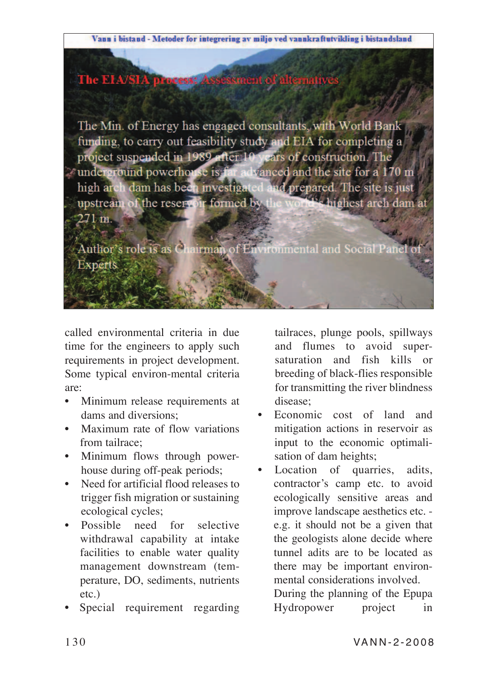



The Min. of Energy has engaged consultants, with World Bank funding, to carry out feasibility study and EIA for completing a project suspended in 1989 after 10 years of construction. The removement in 1969 and a view of construction. The high arch dam has been investigated and prepared. The site is just upstream of the reservoir formed by the w **Mars highest arch dam at**  $271~\mathrm{m}$ 

Author's role is as Chairman of Environmental and Social Panel **Experts** 

called environmental criteria in due time for the engineers to apply such requirements in project development. Some typical environ-mental criteria are:

- Minimum release requirements at dams and diversions;
- Maximum rate of flow variations from tailrace;
- Minimum flows through powerhouse during off-peak periods;
- Need for artificial flood releases to trigger fish migration or sustaining ecological cycles;
- Possible need for selective withdrawal capability at intake facilities to enable water quality management downstream (temperature, DO, sediments, nutrients etc.)
- Special requirement regarding

tailraces, plunge pools, spillways and flumes to avoid supersaturation and fish kills or breeding of black-flies responsible for transmitting the river blindness disease;

- Economic cost of land and mitigation actions in reservoir as input to the economic optimalisation of dam heights;
- Location of quarries, adits, contractor's camp etc. to avoid ecologically sensitive areas and improve landscape aesthetics etc. e.g. it should not be a given that the geologists alone decide where tunnel adits are to be located as there may be important environmental considerations involved. During the planning of the Epupa Hydropower project in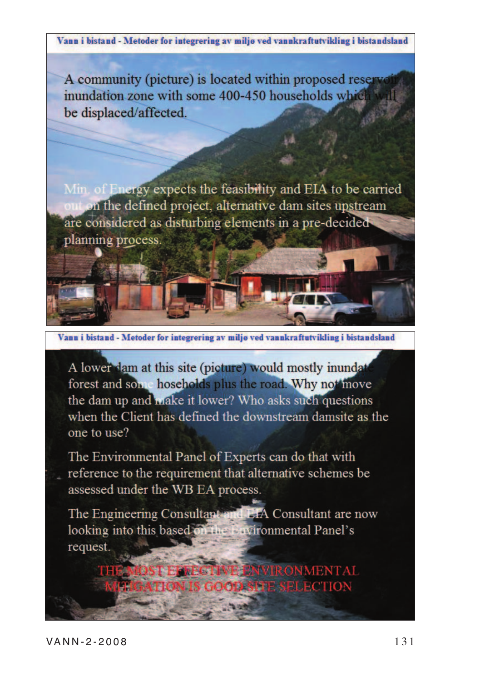Vann i bistand - Metoder for integrering av miljø ved vannkraftutvikling i bistandsland

A community (picture) is located within proposed reserved inundation zone with some 400-450 households which will be displaced/affected.

Min. of Energy expects the feasibility and EIA to be carried at on the defined project, alternative dam sites upstream are considered as disturbing elements in a pre-decided planning process.



A lower dam at this site (picture) would mostly inundat forest and son hoseholds plus the road. Why not move the dam up and make it lower? Who asks such questions when the Client has defined the downstream damsite as the one to use?

The Environmental Panel of Experts can do that with reference to the requirement that alternative schemes be assessed under the WB EA process.

The Engineering Consultant and EIA Consultant are now looking into this based on the Environmental Panel's request.

> **E ENVIRONMENTAL OOD SITE SELECTION**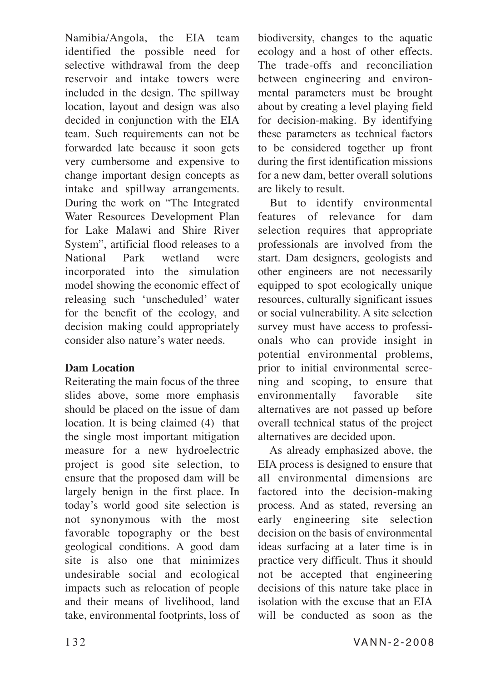Namibia/Angola, the EIA team identified the possible need for selective withdrawal from the deep reservoir and intake towers were included in the design. The spillway location, layout and design was also decided in conjunction with the EIA team. Such requirements can not be forwarded late because it soon gets very cumbersome and expensive to change important design concepts as intake and spillway arrangements. During the work on "The Integrated Water Resources Development Plan for Lake Malawi and Shire River System", artificial flood releases to a National Park wetland were incorporated into the simulation model showing the economic effect of releasing such 'unscheduled' water for the benefit of the ecology, and decision making could appropriately consider also nature's water needs.

### **Dam Location**

Reiterating the main focus of the three slides above, some more emphasis should be placed on the issue of dam location. It is being claimed (4) that the single most important mitigation measure for a new hydroelectric project is good site selection, to ensure that the proposed dam will be largely benign in the first place. In today's world good site selection is not synonymous with the most favorable topography or the best geological conditions. A good dam site is also one that minimizes undesirable social and ecological impacts such as relocation of people and their means of livelihood, land take, environmental footprints, loss of biodiversity, changes to the aquatic ecology and a host of other effects. The trade-offs and reconciliation between engineering and environmental parameters must be brought about by creating a level playing field for decision-making. By identifying these parameters as technical factors to be considered together up front during the first identification missions for a new dam, better overall solutions are likely to result.

But to identify environmental features of relevance for dam selection requires that appropriate professionals are involved from the start. Dam designers, geologists and other engineers are not necessarily equipped to spot ecologically unique resources, culturally significant issues or social vulnerability. A site selection survey must have access to professionals who can provide insight in potential environmental problems, prior to initial environmental screening and scoping, to ensure that environmentally favorable site alternatives are not passed up before overall technical status of the project alternatives are decided upon.

As already emphasized above, the EIA process is designed to ensure that all environmental dimensions are factored into the decision-making process. And as stated, reversing an early engineering site selection decision on the basis of environmental ideas surfacing at a later time is in practice very difficult. Thus it should not be accepted that engineering decisions of this nature take place in isolation with the excuse that an EIA will be conducted as soon as the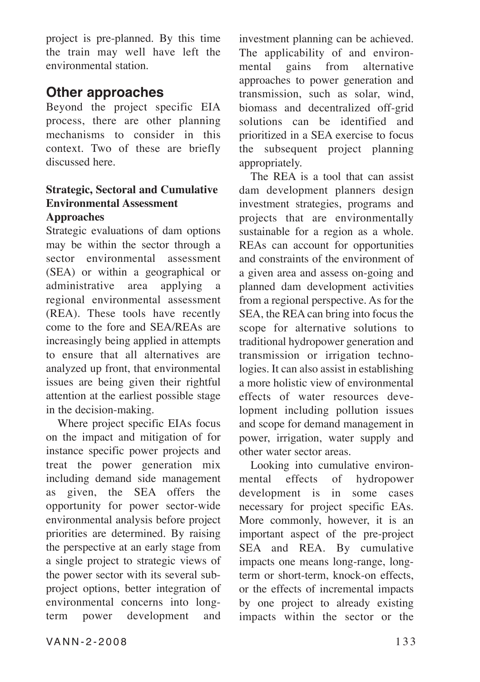project is pre-planned. By this time the train may well have left the environmental station.

### **Other approaches**

Beyond the project specific EIA process, there are other planning mechanisms to consider in this context. Two of these are briefly discussed here.

#### **Strategic, Sectoral and Cumulative Environmental Assessment Approaches**

Strategic evaluations of dam options may be within the sector through a sector environmental assessment (SEA) or within a geographical or administrative area applying a regional environmental assessment (REA). These tools have recently come to the fore and SEA/REAs are increasingly being applied in attempts to ensure that all alternatives are analyzed up front, that environmental issues are being given their rightful attention at the earliest possible stage in the decision-making.

Where project specific EIAs focus on the impact and mitigation of for instance specific power projects and treat the power generation mix including demand side management as given, the SEA offers the opportunity for power sector-wide environmental analysis before project priorities are determined. By raising the perspective at an early stage from a single project to strategic views of the power sector with its several subproject options, better integration of environmental concerns into longterm power development and

investment planning can be achieved. The applicability of and environmental gains from alternative approaches to power generation and transmission, such as solar, wind, biomass and decentralized off-grid solutions can be identified and prioritized in a SEA exercise to focus the subsequent project planning appropriately.

The REA is a tool that can assist dam development planners design investment strategies, programs and projects that are environmentally sustainable for a region as a whole. REAs can account for opportunities and constraints of the environment of a given area and assess on-going and planned dam development activities from a regional perspective. As for the SEA, the REA can bring into focus the scope for alternative solutions to traditional hydropower generation and transmission or irrigation technologies. It can also assist in establishing a more holistic view of environmental effects of water resources development including pollution issues and scope for demand management in power, irrigation, water supply and other water sector areas.

Looking into cumulative environmental effects of hydropower development is in some cases necessary for project specific EAs. More commonly, however, it is an important aspect of the pre-project SEA and REA. By cumulative impacts one means long-range, longterm or short-term, knock-on effects, or the effects of incremental impacts by one project to already existing impacts within the sector or the

VANN-2-2008 133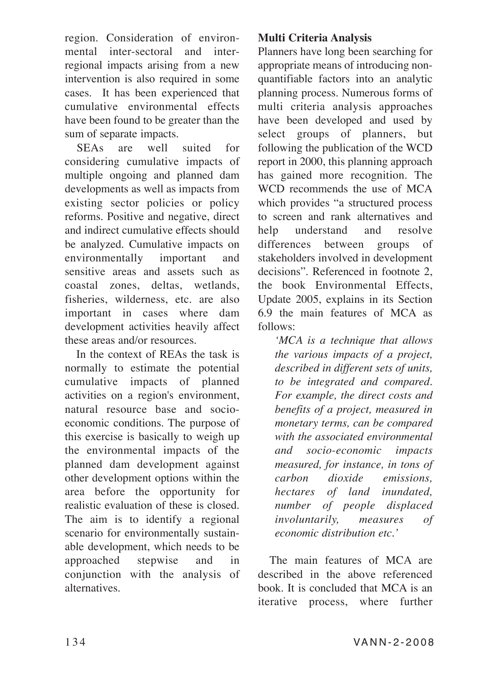region. Consideration of environmental inter-sectoral and interregional impacts arising from a new intervention is also required in some cases. It has been experienced that cumulative environmental effects have been found to be greater than the sum of separate impacts.

SEAs are well suited for considering cumulative impacts of multiple ongoing and planned dam developments as well as impacts from existing sector policies or policy reforms. Positive and negative, direct and indirect cumulative effects should be analyzed. Cumulative impacts on environmentally important and sensitive areas and assets such as coastal zones, deltas, wetlands, fisheries, wilderness, etc. are also important in cases where dam development activities heavily affect these areas and/or resources.

In the context of REAs the task is normally to estimate the potential cumulative impacts of planned activities on a region's environment, natural resource base and socioeconomic conditions. The purpose of this exercise is basically to weigh up the environmental impacts of the planned dam development against other development options within the area before the opportunity for realistic evaluation of these is closed. The aim is to identify a regional scenario for environmentally sustainable development, which needs to be approached stepwise and in conjunction with the analysis of alternatives.

### **Multi Criteria Analysis**

Planners have long been searching for appropriate means of introducing nonquantifiable factors into an analytic planning process. Numerous forms of multi criteria analysis approaches have been developed and used by select groups of planners, but following the publication of the WCD report in 2000, this planning approach has gained more recognition. The WCD recommends the use of MCA which provides "a structured process to screen and rank alternatives and help understand and resolve differences between groups of stakeholders involved in development decisions". Referenced in footnote 2, the book Environmental Effects, Update 2005, explains in its Section 6.9 the main features of MCA as follows:

*'MCA is a technique that allows the various impacts of a project, described in different sets of units, to be integrated and compared. For example, the direct costs and benefits of a project, measured in monetary terms, can be compared with the associated environmental and socio-economic impacts measured, for instance, in tons of carbon dioxide emissions, hectares of land inundated, number of people displaced involuntarily, measures of economic distribution etc.'*

The main features of MCA are described in the above referenced book. It is concluded that MCA is an iterative process, where further